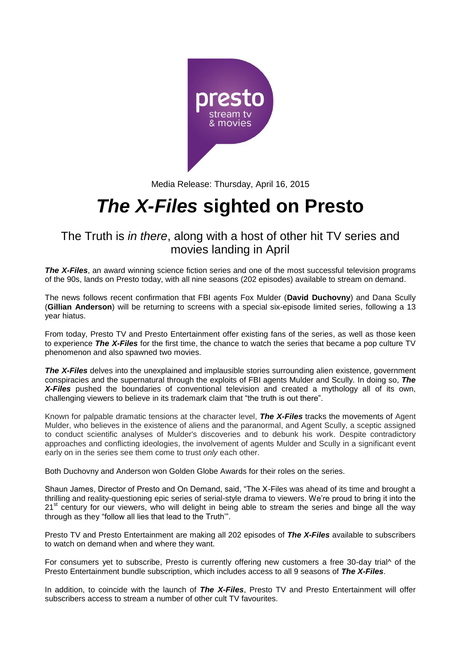

Media Release: Thursday, April 16, 2015

# *The X-Files* **sighted on Presto**

The Truth is *in there*, along with a host of other hit TV series and movies landing in April

**The X-Files**, an award winning science fiction series and one of the most successful television programs of the 90s, lands on Presto today, with all nine seasons (202 episodes) available to stream on demand.

The news follows recent confirmation that FBI agents Fox Mulder (**David Duchovny**) and Dana Scully (**Gillian Anderson**) will be returning to screens with a special six-episode limited series, following a 13 year hiatus.

From today, Presto TV and Presto Entertainment offer existing fans of the series, as well as those keen to experience *The X-Files* for the first time, the chance to watch the series that became a pop culture TV phenomenon and also spawned two movies.

**The X-Files** delves into the unexplained and implausible stories surrounding alien existence, government conspiracies and the supernatural through the exploits of FBI agents Mulder and Scully. In doing so, *The X-Files* pushed the boundaries of conventional television and created a mythology all of its own, challenging viewers to believe in its trademark claim that "the truth is out there".

Known for palpable dramatic tensions at the character level, *The X-Files* tracks the movements of Agent Mulder, who believes in the existence of aliens and the paranormal, and Agent Scully, a sceptic assigned to conduct scientific analyses of Mulder's discoveries and to debunk his work. Despite contradictory approaches and conflicting ideologies, the involvement of agents Mulder and Scully in a significant event early on in the series see them come to trust *only* each other.

Both Duchovny and Anderson won Golden Globe Awards for their roles on the series.

Shaun James, Director of Presto and On Demand, said, "The X-Files was ahead of its time and brought a thrilling and reality-questioning epic series of serial-style drama to viewers. We're proud to bring it into the 21<sup>st</sup> century for our viewers, who will delight in being able to stream the series and binge all the way through as they "follow all lies that lead to the Truth'".

Presto TV and Presto Entertainment are making all 202 episodes of *The X-Files* available to subscribers to watch on demand when and where they want.

For consumers yet to subscribe, Presto is currently offering new customers a free 30-day trial^ of the Presto Entertainment bundle subscription, which includes access to all 9 seasons of *The X-Files*.

In addition, to coincide with the launch of *The X-Files*, Presto TV and Presto Entertainment will offer subscribers access to stream a number of other cult TV favourites.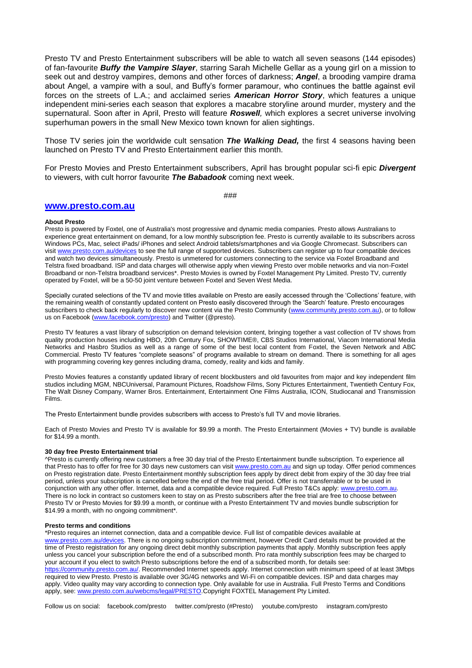Presto TV and Presto Entertainment subscribers will be able to watch all seven seasons (144 episodes) of fan-favourite *Buffy the Vampire Slayer*, starring Sarah Michelle Gellar as a young girl on a mission to seek out and destroy vampires, demons and other forces of darkness; *Angel*, a brooding vampire drama about Angel, a vampire with a soul, and Buffy's former paramour, who continues the battle against evil forces on the streets of L.A.; and acclaimed series *American Horror Story*, which features a unique independent mini-series each season that explores a macabre storyline around murder, mystery and the supernatural. Soon after in April, Presto will feature *Roswell,* which explores a secret universe involving superhuman powers in the small New Mexico town known for alien sightings.

Those TV series join the worldwide cult sensation *The Walking Dead,* the first 4 seasons having been launched on Presto TV and Presto Entertainment earlier this month.

For Presto Movies and Presto Entertainment subscribers, April has brought popular sci-fi epic *Divergent* to viewers, with cult horror favourite *The Babadook* coming next week.

###

### **[www.presto.com.au](http://www.presto.com.au/)**

#### **About Presto**

Presto is powered by Foxtel, one of Australia's most progressive and dynamic media companies. Presto allows Australians to experience great entertainment on demand, for a low monthly subscription fee. Presto is currently available to its subscribers across Windows PCs, Mac, select iPads/ iPhones and select Android tablets/smartphones and via Google Chromecast. Subscribers can visi[t www.presto.com.au/devices](http://www.presto.com.au/devices) to see the full range of supported devices. Subscribers can register up to four compatible devices and watch two devices simultaneously. Presto is unmetered for customers connecting to the service via Foxtel Broadband and Telstra fixed broadband. ISP and data charges will otherwise apply when viewing Presto over mobile networks and via non-Foxtel Broadband or non-Telstra broadband services\*. Presto Movies is owned by Foxtel Management Pty Limited. Presto TV, currently operated by Foxtel, will be a 50-50 joint venture between Foxtel and Seven West Media.

Specially curated selections of the TV and movie titles available on Presto are easily accessed through the 'Collections' feature, with the remaining wealth of constantly updated content on Presto easily discovered through the 'Search' feature. Presto encourages subscribers to check back regularly to discover new content via the Presto Community [\(www.community.presto.com.au\)](http://www.community.presto.com.au/), or to follow us on Facebook [\(www.facebook.com/presto\)](http://www.facebook.com/presto) and Twitter (@presto).

Presto TV features a vast library of subscription on demand television content, bringing together a vast collection of TV shows from quality production houses including HBO, 20th Century Fox, SHOWTIME®, CBS Studios International, Viacom International Media Networks and Hasbro Studios as well as a range of some of the best local content from Foxtel, the Seven Network and ABC Commercial. Presto TV features "complete seasons" of programs available to stream on demand. There is something for all ages with programming covering key genres including drama, comedy, reality and kids and family.

Presto Movies features a constantly updated library of recent blockbusters and old favourites from major and key independent film studios including MGM, NBCUniversal, Paramount Pictures, Roadshow Films, Sony Pictures Entertainment, Twentieth Century Fox, The Walt Disney Company, Warner Bros. Entertainment, Entertainment One Films Australia, ICON, Studiocanal and Transmission Films.

The Presto Entertainment bundle provides subscribers with access to Presto's full TV and movie libraries.

Each of Presto Movies and Presto TV is available for \$9.99 a month. The Presto Entertainment (Movies + TV) bundle is available for \$14.99 a month.

#### **30 day free Presto Entertainment trial**

^Presto is currently offering new customers a free 30 day trial of the Presto Entertainment bundle subscription. To experience all that Presto has to offer for free for 30 days new customers can visi[t www.presto.com.au](http://www.presto.com.au/) and sign up today. Offer period commences on Presto registration date. Presto Entertainment monthly subscription fees apply by direct debit from expiry of the 30 day free trial period, unless your subscription is cancelled before the end of the free trial period. Offer is not transferrable or to be used in conjunction with any other offer. Internet, data and a compatible device required. Full Presto T&Cs apply: [www.presto.com.au.](http://www.presto.com.au/) There is no lock in contract so customers keen to stay on as Presto subscribers after the free trial are free to choose between Presto TV or Presto Movies for \$9.99 a month, or continue with a Presto Entertainment TV and movies bundle subscription for \$14.99 a month, with no ongoing commitment\*.

#### **Presto terms and conditions**

\*Presto requires an internet connection, data and a compatible device. Full list of compatible devices available at [www.presto.com.au/devices.](http://www.presto.com.au/devices) There is no ongoing subscription commitment, however Credit Card details must be provided at the time of Presto registration for any ongoing direct debit monthly subscription payments that apply. Monthly subscription fees apply unless you cancel your subscription before the end of a subscribed month. Pro rata monthly subscription fees may be charged to your account if you elect to switch Presto subscriptions before the end of a subscribed month, for details see: [https://community.presto.com.au/.](https://community.presto.com.au/) Recommended Internet speeds apply. Internet connection with minimum speed of at least 3Mbps required to view Presto. Presto is available over 3G/4G networks and Wi-Fi on compatible devices. ISP and data charges may apply. Video quality may vary according to connection type. Only available for use in Australia. Full Presto Terms and Conditions apply, see[: www.presto.com.au/webcms/legal/PRESTO.](http://www.presto.com.au/webcms/legal/PRESTO)Copyright FOXTEL Management Pty Limited.

Follow us on social: facebook.com/presto twitter.com/presto (#Presto) youtube.com/presto instagram.com/presto